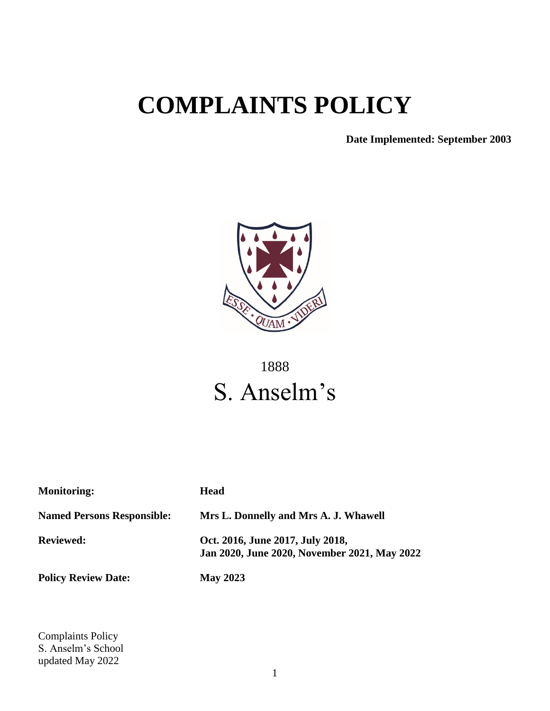# **COMPLAINTS POLICY**

**Date Implemented: September 2003**



## 1888 S. Anselm's

| <b>Monitoring:</b>                | <b>Head</b>                                                                      |
|-----------------------------------|----------------------------------------------------------------------------------|
| <b>Named Persons Responsible:</b> | Mrs L. Donnelly and Mrs A. J. Whawell                                            |
| <b>Reviewed:</b>                  | Oct. 2016, June 2017, July 2018,<br>Jan 2020, June 2020, November 2021, May 2022 |
| <b>Policy Review Date:</b>        | <b>May 2023</b>                                                                  |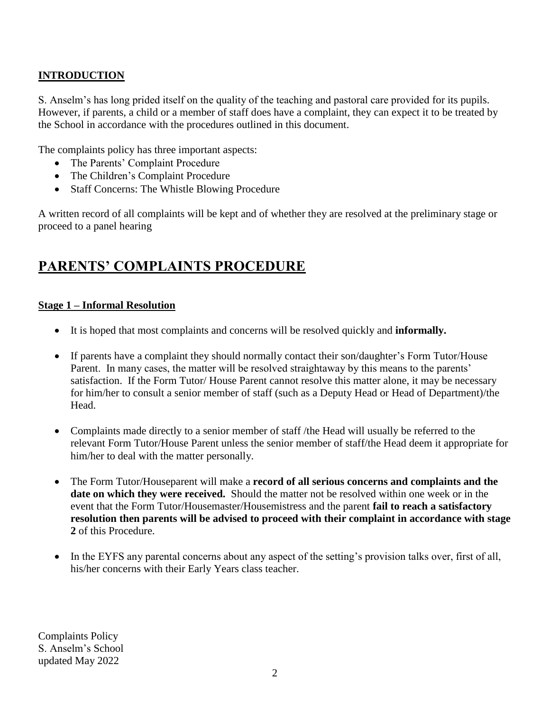#### **INTRODUCTION**

S. Anselm's has long prided itself on the quality of the teaching and pastoral care provided for its pupils. However, if parents, a child or a member of staff does have a complaint, they can expect it to be treated by the School in accordance with the procedures outlined in this document.

The complaints policy has three important aspects:

- The Parents' Complaint Procedure
- The Children's Complaint Procedure
- Staff Concerns: The Whistle Blowing Procedure

A written record of all complaints will be kept and of whether they are resolved at the preliminary stage or proceed to a panel hearing

### **PARENTS' COMPLAINTS PROCEDURE**

#### **Stage 1 – Informal Resolution**

- It is hoped that most complaints and concerns will be resolved quickly and **informally.**
- If parents have a complaint they should normally contact their son/daughter's Form Tutor/House Parent. In many cases, the matter will be resolved straightaway by this means to the parents' satisfaction. If the Form Tutor/ House Parent cannot resolve this matter alone, it may be necessary for him/her to consult a senior member of staff (such as a Deputy Head or Head of Department)/the Head.
- Complaints made directly to a senior member of staff /the Head will usually be referred to the relevant Form Tutor/House Parent unless the senior member of staff/the Head deem it appropriate for him/her to deal with the matter personally.
- The Form Tutor/Houseparent will make a **record of all serious concerns and complaints and the date on which they were received.** Should the matter not be resolved within one week or in the event that the Form Tutor/Housemaster/Housemistress and the parent **fail to reach a satisfactory resolution then parents will be advised to proceed with their complaint in accordance with stage 2** of this Procedure.
- In the EYFS any parental concerns about any aspect of the setting's provision talks over, first of all, his/her concerns with their Early Years class teacher.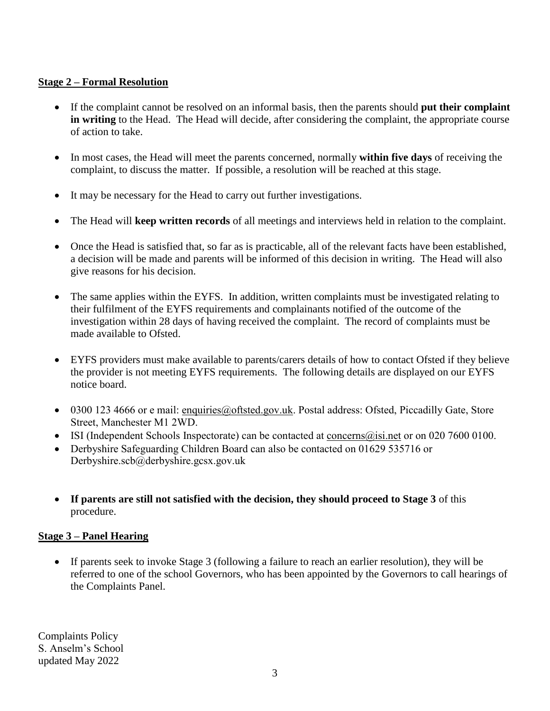#### **Stage 2 – Formal Resolution**

- If the complaint cannot be resolved on an informal basis, then the parents should **put their complaint in writing** to the Head. The Head will decide, after considering the complaint, the appropriate course of action to take.
- In most cases, the Head will meet the parents concerned, normally **within five days** of receiving the complaint, to discuss the matter. If possible, a resolution will be reached at this stage.
- It may be necessary for the Head to carry out further investigations.
- The Head will **keep written records** of all meetings and interviews held in relation to the complaint.
- Once the Head is satisfied that, so far as is practicable, all of the relevant facts have been established, a decision will be made and parents will be informed of this decision in writing. The Head will also give reasons for his decision.
- The same applies within the EYFS. In addition, written complaints must be investigated relating to their fulfilment of the EYFS requirements and complainants notified of the outcome of the investigation within 28 days of having received the complaint. The record of complaints must be made available to Ofsted.
- EYFS providers must make available to parents/carers details of how to contact Ofsted if they believe the provider is not meeting EYFS requirements. The following details are displayed on our EYFS notice board.
- 0300 123 4666 or e mail: [enquiries@oftsted.gov.uk.](mailto:enquiries@oftsted.gov.uk) Postal address: Ofsted, Piccadilly Gate, Store Street, Manchester M1 2WD.
- ISI (Independent Schools Inspectorate) can be contacted at [concerns@isi.net](mailto:concerns@isi.net) or on 020 7600 0100.
- Derbyshire Safeguarding Children Board can also be contacted on 01629 535716 or Derbyshire.scb@derbyshire.gcsx.gov.uk
- **If parents are still not satisfied with the decision, they should proceed to Stage 3** of this procedure.

#### **Stage 3 – Panel Hearing**

 If parents seek to invoke Stage 3 (following a failure to reach an earlier resolution), they will be referred to one of the school Governors, who has been appointed by the Governors to call hearings of the Complaints Panel.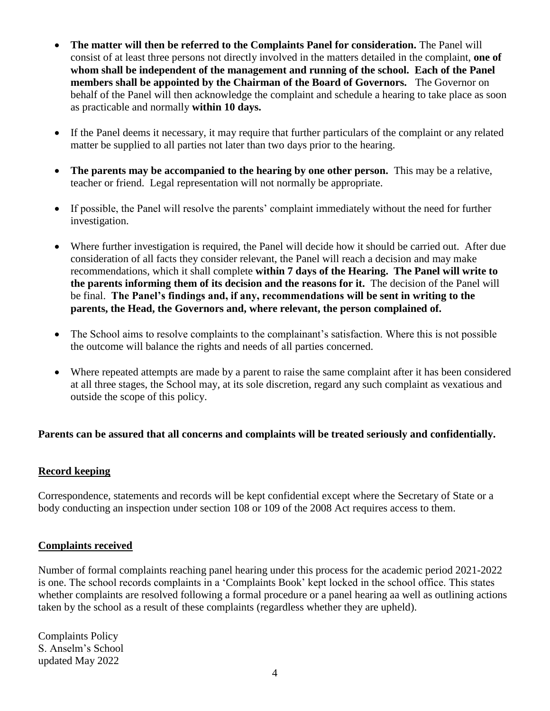- **The matter will then be referred to the Complaints Panel for consideration.** The Panel will consist of at least three persons not directly involved in the matters detailed in the complaint, **one of whom shall be independent of the management and running of the school. Each of the Panel members shall be appointed by the Chairman of the Board of Governors.** The Governor on behalf of the Panel will then acknowledge the complaint and schedule a hearing to take place as soon as practicable and normally **within 10 days.**
- If the Panel deems it necessary, it may require that further particulars of the complaint or any related matter be supplied to all parties not later than two days prior to the hearing.
- **The parents may be accompanied to the hearing by one other person.** This may be a relative, teacher or friend. Legal representation will not normally be appropriate.
- If possible, the Panel will resolve the parents' complaint immediately without the need for further investigation.
- Where further investigation is required, the Panel will decide how it should be carried out. After due consideration of all facts they consider relevant, the Panel will reach a decision and may make recommendations, which it shall complete **within 7 days of the Hearing. The Panel will write to the parents informing them of its decision and the reasons for it.** The decision of the Panel will be final. **The Panel's findings and, if any, recommendations will be sent in writing to the parents, the Head, the Governors and, where relevant, the person complained of.**
- The School aims to resolve complaints to the complainant's satisfaction. Where this is not possible the outcome will balance the rights and needs of all parties concerned.
- Where repeated attempts are made by a parent to raise the same complaint after it has been considered at all three stages, the School may, at its sole discretion, regard any such complaint as vexatious and outside the scope of this policy.

#### **Parents can be assured that all concerns and complaints will be treated seriously and confidentially.**

#### **Record keeping**

Correspondence, statements and records will be kept confidential except where the Secretary of State or a body conducting an inspection under section 108 or 109 of the 2008 Act requires access to them.

#### **Complaints received**

Number of formal complaints reaching panel hearing under this process for the academic period 2021-2022 is one. The school records complaints in a 'Complaints Book' kept locked in the school office. This states whether complaints are resolved following a formal procedure or a panel hearing aa well as outlining actions taken by the school as a result of these complaints (regardless whether they are upheld).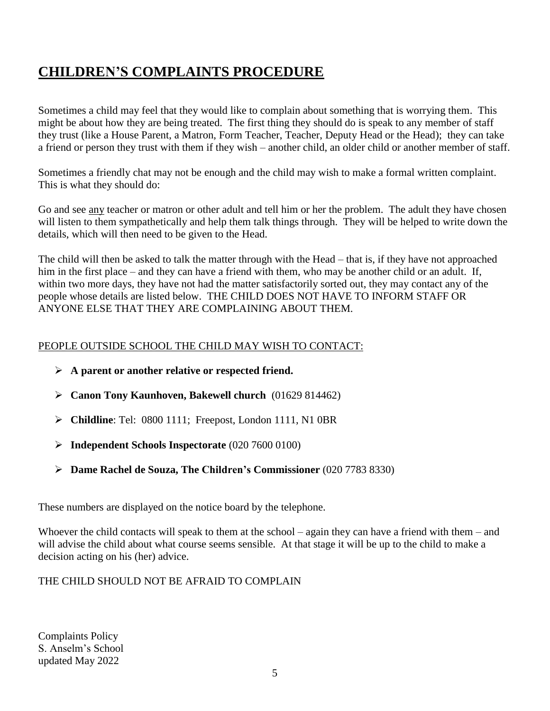## **CHILDREN'S COMPLAINTS PROCEDURE**

Sometimes a child may feel that they would like to complain about something that is worrying them. This might be about how they are being treated. The first thing they should do is speak to any member of staff they trust (like a House Parent, a Matron, Form Teacher, Teacher, Deputy Head or the Head); they can take a friend or person they trust with them if they wish – another child, an older child or another member of staff.

Sometimes a friendly chat may not be enough and the child may wish to make a formal written complaint. This is what they should do:

Go and see any teacher or matron or other adult and tell him or her the problem. The adult they have chosen will listen to them sympathetically and help them talk things through. They will be helped to write down the details, which will then need to be given to the Head.

The child will then be asked to talk the matter through with the Head – that is, if they have not approached him in the first place – and they can have a friend with them, who may be another child or an adult. If, within two more days, they have not had the matter satisfactorily sorted out, they may contact any of the people whose details are listed below. THE CHILD DOES NOT HAVE TO INFORM STAFF OR ANYONE ELSE THAT THEY ARE COMPLAINING ABOUT THEM.

#### PEOPLE OUTSIDE SCHOOL THE CHILD MAY WISH TO CONTACT:

- **A parent or another relative or respected friend.**
- **Canon Tony Kaunhoven, Bakewell church** (01629 814462)
- **Childline**: Tel: 0800 1111; Freepost, London 1111, N1 0BR
- **Independent Schools Inspectorate** (020 7600 0100)
- **Dame Rachel de Souza, The Children's Commissioner** (020 7783 8330)

These numbers are displayed on the notice board by the telephone.

Whoever the child contacts will speak to them at the school – again they can have a friend with them – and will advise the child about what course seems sensible. At that stage it will be up to the child to make a decision acting on his (her) advice.

#### THE CHILD SHOULD NOT BE AFRAID TO COMPLAIN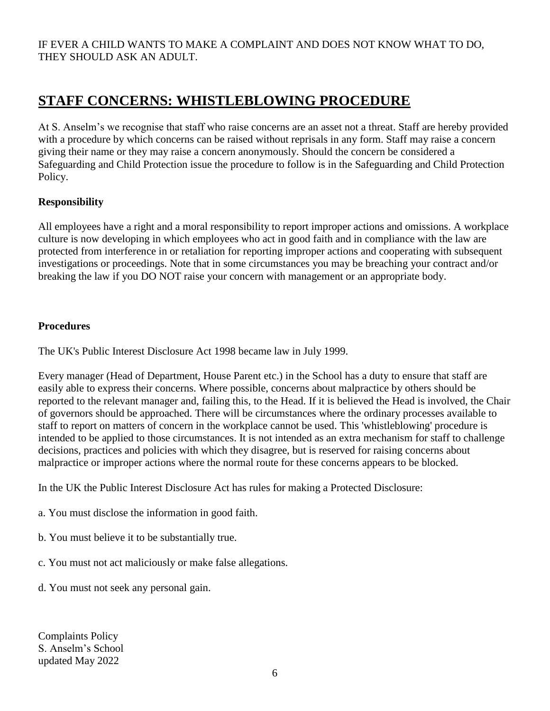## **STAFF CONCERNS: WHISTLEBLOWING PROCEDURE**

At S. Anselm's we recognise that staff who raise concerns are an asset not a threat. Staff are hereby provided with a procedure by which concerns can be raised without reprisals in any form. Staff may raise a concern giving their name or they may raise a concern anonymously. Should the concern be considered a Safeguarding and Child Protection issue the procedure to follow is in the Safeguarding and Child Protection Policy.

#### **Responsibility**

All employees have a right and a moral responsibility to report improper actions and omissions. A workplace culture is now developing in which employees who act in good faith and in compliance with the law are protected from interference in or retaliation for reporting improper actions and cooperating with subsequent investigations or proceedings. Note that in some circumstances you may be breaching your contract and/or breaking the law if you DO NOT raise your concern with management or an appropriate body.

#### **Procedures**

The UK's Public Interest Disclosure Act 1998 became law in July 1999.

Every manager (Head of Department, House Parent etc.) in the School has a duty to ensure that staff are easily able to express their concerns. Where possible, concerns about malpractice by others should be reported to the relevant manager and, failing this, to the Head. If it is believed the Head is involved, the Chair of governors should be approached. There will be circumstances where the ordinary processes available to staff to report on matters of concern in the workplace cannot be used. This 'whistleblowing' procedure is intended to be applied to those circumstances. It is not intended as an extra mechanism for staff to challenge decisions, practices and policies with which they disagree, but is reserved for raising concerns about malpractice or improper actions where the normal route for these concerns appears to be blocked.

In the UK the Public Interest Disclosure Act has rules for making a Protected Disclosure:

- a. You must disclose the information in good faith.
- b. You must believe it to be substantially true.
- c. You must not act maliciously or make false allegations.
- d. You must not seek any personal gain.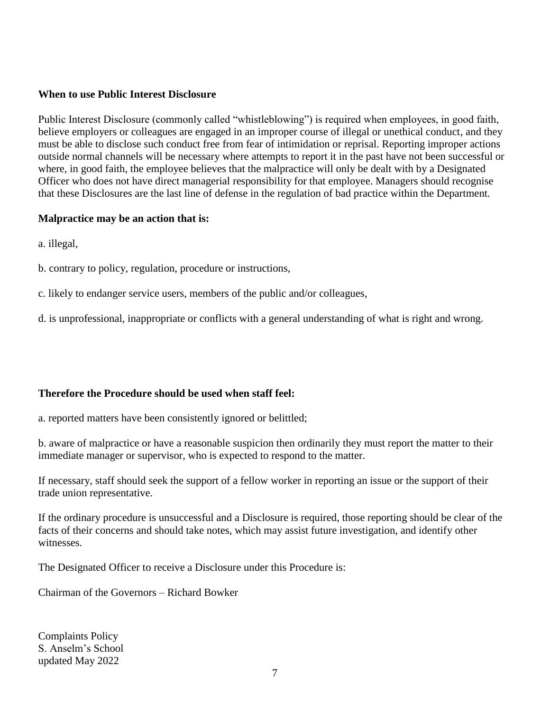#### **When to use Public Interest Disclosure**

Public Interest Disclosure (commonly called "whistleblowing") is required when employees, in good faith, believe employers or colleagues are engaged in an improper course of illegal or unethical conduct, and they must be able to disclose such conduct free from fear of intimidation or reprisal. Reporting improper actions outside normal channels will be necessary where attempts to report it in the past have not been successful or where, in good faith, the employee believes that the malpractice will only be dealt with by a Designated Officer who does not have direct managerial responsibility for that employee. Managers should recognise that these Disclosures are the last line of defense in the regulation of bad practice within the Department.

#### **Malpractice may be an action that is:**

a. illegal,

b. contrary to policy, regulation, procedure or instructions,

c. likely to endanger service users, members of the public and/or colleagues,

d. is unprofessional, inappropriate or conflicts with a general understanding of what is right and wrong.

#### **Therefore the Procedure should be used when staff feel:**

a. reported matters have been consistently ignored or belittled;

b. aware of malpractice or have a reasonable suspicion then ordinarily they must report the matter to their immediate manager or supervisor, who is expected to respond to the matter.

If necessary, staff should seek the support of a fellow worker in reporting an issue or the support of their trade union representative.

If the ordinary procedure is unsuccessful and a Disclosure is required, those reporting should be clear of the facts of their concerns and should take notes, which may assist future investigation, and identify other witnesses.

The Designated Officer to receive a Disclosure under this Procedure is:

Chairman of the Governors – Richard Bowker